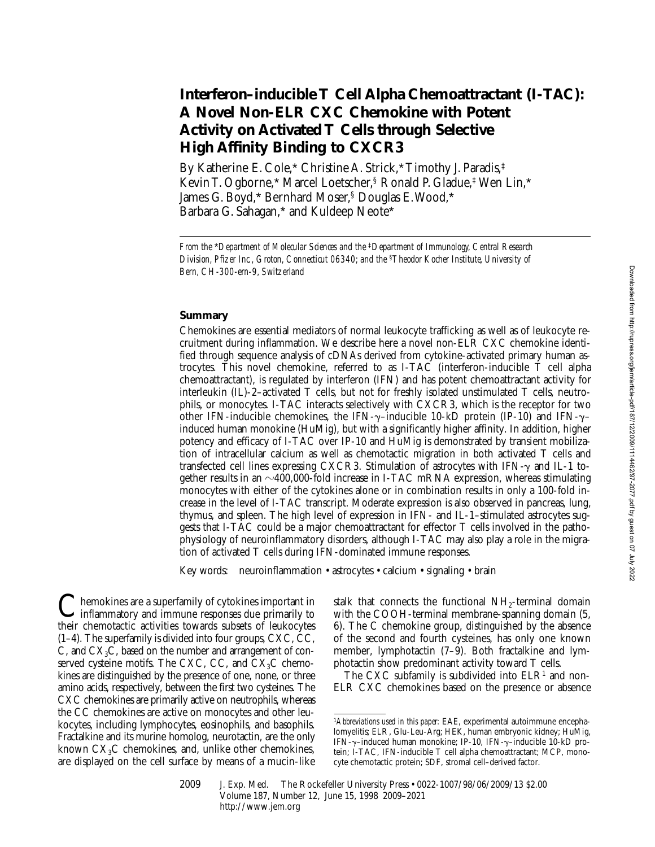# **Interferon–inducible T Cell Alpha Chemoattractant (I-TAC): A Novel Non-ELR CXC Chemokine with Potent Activity on Activated T Cells through Selective High Affinity Binding to CXCR3**

By Katherine E. Cole,\* Christine A. Strick,\* Timothy J. Paradis,‡ Kevin T. Ogborne,\* Marcel Loetscher,§ Ronald P. Gladue,‡ Wen Lin,\* James G. Boyd,\* Bernhard Moser,§ Douglas E. Wood,\* Barbara G. Sahagan,\* and Kuldeep Neote\*

## **Summary**

Chemokines are essential mediators of normal leukocyte trafficking as well as of leukocyte recruitment during inflammation. We describe here a novel non-ELR CXC chemokine identified through sequence analysis of cDNAs derived from cytokine-activated primary human astrocytes. This novel chemokine, referred to as I-TAC (interferon-inducible T cell alpha chemoattractant), is regulated by interferon (IFN) and has potent chemoattractant activity for interleukin (IL)-2–activated T cells, but not for freshly isolated unstimulated T cells, neutrophils, or monocytes. I-TAC interacts selectively with CXCR3, which is the receptor for two other IFN-inducible chemokines, the IFN- $\gamma$ –inducible 10-kD protein (IP-10) and IFN- $\gamma$ – induced human monokine (HuMig), but with a significantly higher affinity. In addition, higher potency and efficacy of I-TAC over IP-10 and HuMig is demonstrated by transient mobilization of intracellular calcium as well as chemotactic migration in both activated T cells and transfected cell lines expressing CXCR3. Stimulation of astrocytes with IFN- $\gamma$  and IL-1 together results in an  $\sim$ 400,000-fold increase in I-TAC mRNA expression, whereas stimulating monocytes with either of the cytokines alone or in combination results in only a 100-fold increase in the level of I-TAC transcript. Moderate expression is also observed in pancreas, lung, thymus, and spleen. The high level of expression in IFN- and IL-1–stimulated astrocytes suggests that I-TAC could be a major chemoattractant for effector T cells involved in the pathophysiology of neuroinflammatory disorders, although I-TAC may also play a role in the migration of activated T cells during IFN-dominated immune responses.

Key words: neuroinflammation • astrocytes • calcium • signaling • brain

Chemokines are a superfamily of cytokines important in<br>inflammatory and immune responses due primarily to their chemotactic activities towards subsets of leukocytes (1–4). The superfamily is divided into four groups, CXC, CC, C, and  $CX<sub>3</sub>C$ , based on the number and arrangement of conserved cysteine motifs. The CXC, CC, and  $CX<sub>3</sub>C$  chemokines are distinguished by the presence of one, none, or three amino acids, respectively, between the first two cysteines. The CXC chemokines are primarily active on neutrophils, whereas the CC chemokines are active on monocytes and other leukocytes, including lymphocytes, eosinophils, and basophils. Fractalkine and its murine homolog, neurotactin, are the only known  $CX<sub>3</sub>C$  chemokines, and, unlike other chemokines, are displayed on the cell surface by means of a mucin-like stalk that connects the functional NH<sub>2</sub>-terminal domain with the COOH-terminal membrane-spanning domain (5, 6). The C chemokine group, distinguished by the absence of the second and fourth cysteines, has only one known member, lymphotactin (7–9). Both fractalkine and lymphotactin show predominant activity toward T cells.

The CXC subfamily is subdivided into  $ELR<sup>1</sup>$  and non-ELR CXC chemokines based on the presence or absence

*From the* \**Department of Molecular Sciences and the* ‡*Department of Immunology, Central Research Division, Pfizer Inc., Groton, Connecticut 06340; and the* §*Theodor Kocher Institute, University of Bern, CH-300-ern-9, Switzerland*

<sup>1</sup>*Abbreviations used in this paper:* EAE, experimental autoimmune encephalomyelitis; ELR, Glu-Leu-Arg; HEK, human embryonic kidney; HuMig, IFN-g–induced human monokine; IP-10, IFN-g–inducible 10-kD protein; I-TAC, IFN-inducible T cell alpha chemoattractant; MCP, monocyte chemotactic protein; SDF, stromal cell–derived factor.

<sup>2009</sup> J. Exp. Med. The Rockefeller University Press • 0022-1007/98/06/2009/13 \$2.00 Volume 187, Number 12, June 15, 1998 2009–2021 http://www.jem.org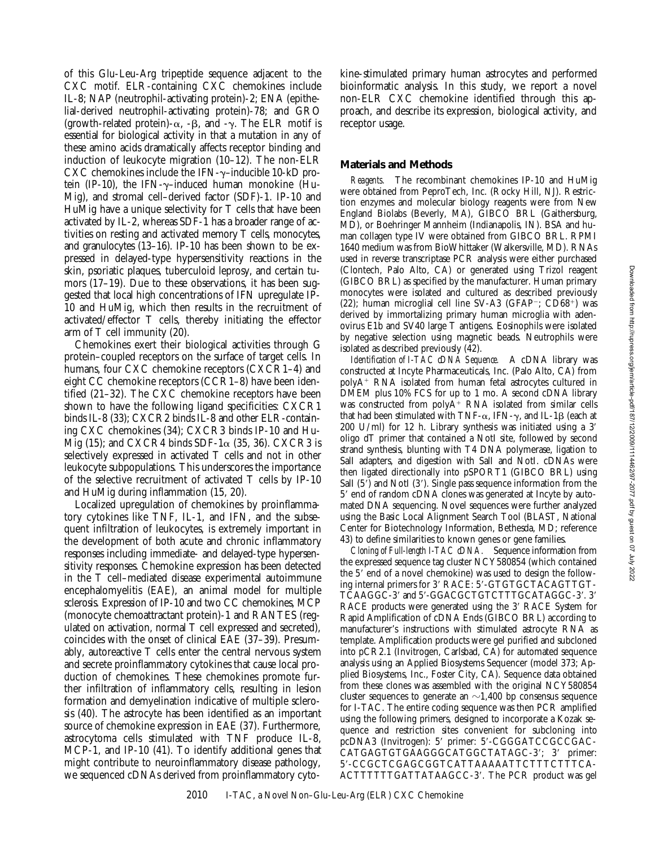of this Glu-Leu-Arg tripeptide sequence adjacent to the CXC motif. ELR-containing CXC chemokines include IL-8; NAP (neutrophil-activating protein)-2; ENA (epithelial-derived neutrophil-activating protein)-78; and GRO (growth-related protein)- $\alpha$ , - $\beta$ , and - $\gamma$ . The ELR motif is essential for biological activity in that a mutation in any of these amino acids dramatically affects receptor binding and induction of leukocyte migration (10–12). The non-ELR CXC chemokines include the IFN- $\gamma$ –inducible 10-kD protein (IP-10), the IFN- $\gamma$ -induced human monokine (Hu-Mig), and stromal cell–derived factor (SDF)-1. IP-10 and HuMig have a unique selectivity for T cells that have been activated by IL-2, whereas SDF-1 has a broader range of activities on resting and activated memory T cells, monocytes, and granulocytes (13–16). IP-10 has been shown to be expressed in delayed-type hypersensitivity reactions in the skin, psoriatic plaques, tuberculoid leprosy, and certain tumors (17–19). Due to these observations, it has been suggested that local high concentrations of IFN upregulate IP-10 and HuMig, which then results in the recruitment of activated/effector T cells, thereby initiating the effector arm of T cell immunity (20).

Chemokines exert their biological activities through G protein–coupled receptors on the surface of target cells. In humans, four CXC chemokine receptors (CXCR1–4) and eight CC chemokine receptors (CCR1–8) have been identified (21–32). The CXC chemokine receptors have been shown to have the following ligand specificities: CXCR1 binds IL-8 (33); CXCR2 binds IL-8 and other ELR-containing CXC chemokines (34); CXCR3 binds IP-10 and Hu-Mig (15); and CXCR4 binds SDF-1 $\alpha$  (35, 36). CXCR3 is selectively expressed in activated T cells and not in other leukocyte subpopulations. This underscores the importance of the selective recruitment of activated T cells by IP-10 and HuMig during inflammation (15, 20).

Localized upregulation of chemokines by proinflammatory cytokines like TNF, IL-1, and IFN, and the subsequent infiltration of leukocytes, is extremely important in the development of both acute and chronic inflammatory responses including immediate- and delayed-type hypersensitivity responses. Chemokine expression has been detected in the T cell–mediated disease experimental autoimmune encephalomyelitis (EAE), an animal model for multiple sclerosis. Expression of IP-10 and two CC chemokines, MCP (monocyte chemoattractant protein)-1 and RANTES (regulated on activation, normal T cell expressed and secreted), coincides with the onset of clinical EAE (37–39). Presumably, autoreactive T cells enter the central nervous system and secrete proinflammatory cytokines that cause local production of chemokines. These chemokines promote further infiltration of inflammatory cells, resulting in lesion formation and demyelination indicative of multiple sclerosis (40). The astrocyte has been identified as an important source of chemokine expression in EAE (37). Furthermore, astrocytoma cells stimulated with TNF produce IL-8, MCP-1, and IP-10 (41). To identify additional genes that might contribute to neuroinflammatory disease pathology, we sequenced cDNAs derived from proinflammatory cyto-

kine-stimulated primary human astrocytes and performed bioinformatic analysis. In this study, we report a novel non-ELR CXC chemokine identified through this approach, and describe its expression, biological activity, and receptor usage.

# **Materials and Methods**

*Reagents.* The recombinant chemokines IP-10 and HuMig were obtained from PeproTech, Inc. (Rocky Hill, NJ). Restriction enzymes and molecular biology reagents were from New England Biolabs (Beverly, MA), GIBCO BRL (Gaithersburg, MD), or Boehringer Mannheim (Indianapolis, IN). BSA and human collagen type IV were obtained from GIBCO BRL. RPMI 1640 medium was from BioWhittaker (Walkersville, MD). RNAs used in reverse transcriptase PCR analysis were either purchased (Clontech, Palo Alto, CA) or generated using Trizol reagent (GIBCO BRL) as specified by the manufacturer. Human primary monocytes were isolated and cultured as described previously  $(22)$ ; human microglial cell line SV-A3 (GFAP<sup>-</sup>; CD68<sup>+</sup>) was derived by immortalizing primary human microglia with adenovirus E1b and SV40 large T antigens. Eosinophils were isolated by negative selection using magnetic beads. Neutrophils were isolated as described previously (42).

*Identification of I-TAC cDNA Sequence.* A cDNA library was constructed at Incyte Pharmaceuticals, Inc. (Palo Alto, CA) from  $polyA<sup>+</sup> RNA$  isolated from human fetal astrocytes cultured in DMEM plus 10% FCS for up to 1 mo. A second cDNA library was constructed from poly $A^+$  RNA isolated from similar cells that had been stimulated with TNF- $\alpha$ , IFN- $\gamma$ , and IL-1 $\beta$  (each at 200 U/ml) for 12 h. Library synthesis was initiated using a  $3'$ oligo dT primer that contained a NotI site, followed by second strand synthesis, blunting with T4 DNA polymerase, ligation to SalI adapters, and digestion with SalI and NotI. cDNAs were then ligated directionally into pSPORT1 (GIBCO BRL) using SalI  $(5)$  and NotI  $(3')$ . Single pass sequence information from the 5' end of random cDNA clones was generated at Incyte by automated DNA sequencing. Novel sequences were further analyzed using the Basic Local Alignment Search Tool (BLAST, National Center for Biotechnology Information, Bethesda, MD; reference 43) to define similarities to known genes or gene families.

*Cloning of Full-length I-TAC cDNA.* Sequence information from the expressed sequence tag cluster NCY580854 (which contained the 5' end of a novel chemokine) was used to design the following internal primers for 3' RACE: 5'-GTGTGCTACAGTTGT-TCAAGGC-3' and 5'-GGACGCTGTCTTTGCATAGGC-3'. 3' RACE products were generated using the 3' RACE System for Rapid Amplification of cDNA Ends (GIBCO BRL) according to manufacturer's instructions with stimulated astrocyte RNA as template. Amplification products were gel purified and subcloned into pCR2.1 (Invitrogen, Carlsbad, CA) for automated sequence analysis using an Applied Biosystems Sequencer (model 373; Applied Biosystems, Inc., Foster City, CA). Sequence data obtained from these clones was assembled with the original NCY580854 cluster sequences to generate an  $\sim$ 1,400 bp consensus sequence for I-TAC. The entire coding sequence was then PCR amplified using the following primers, designed to incorporate a Kozak sequence and restriction sites convenient for subcloning into pcDNA3 (Invitrogen): 5' primer: 5'-CGGGATCCGCCGAC-CATGAGTGTGAAGGGCATGGCTATAGC-3'; 3' primer: 59-CCGCTCGAGCGGTCATTAAAAATTCTTTCTTTCA-ACTTTTTTGATTATAAGCC-3'. The PCR product was gel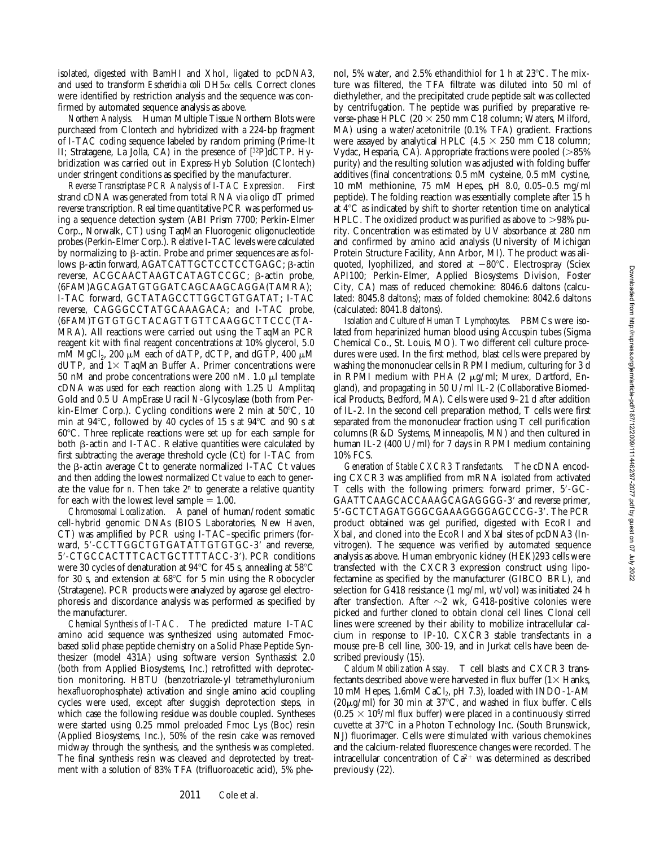isolated, digested with BamHI and XhoI, ligated to pcDNA3, and used to transform *Escherichia coli* DH5a cells. Correct clones were identified by restriction analysis and the sequence was confirmed by automated sequence analysis as above.

*Northern Analysis.* Human Multiple Tissue Northern Blots were purchased from Clontech and hybridized with a 224-bp fragment of I-TAC coding sequence labeled by random priming (Prime-It II; Stratagene, La Jolla, CA) in the presence of [32P]dCTP. Hybridization was carried out in Express-Hyb Solution (Clontech) under stringent conditions as specified by the manufacturer.

*Reverse Transcriptase PCR Analysis of I-TAC Expression.* First strand cDNA was generated from total RNA via oligo dT primed reverse transcription. Real time quantitative PCR was performed using a sequence detection system (ABI Prism 7700; Perkin-Elmer Corp., Norwalk, CT) using TaqMan Fluorogenic oligonucleotide probes (Perkin-Elmer Corp.). Relative I-TAC levels were calculated by normalizing to  $\beta$ -actin. Probe and primer sequences are as follows: β-actin forward, AGATCATTGCTCCTCCTGAGC; β-actin reverse, ACGCAACTAAGTCATAGTCCGC; b-actin probe, (6FAM)AGCAGATGTGGATCAGCAAGCAGGA(TAMRA); I-TAC forward, GCTATAGCCTTGGCTGTGATAT; I-TAC reverse, CAGGGCCTATGCAAAGACA; and I-TAC probe, (6FAM)TGTGTGCTACAGTTGTTCAAGGCTTCCC(TA-MRA). All reactions were carried out using the TaqMan PCR reagent kit with final reagent concentrations at 10% glycerol, 5.0 mM MgCl<sub>2</sub>, 200  $\mu$ M each of dATP, dCTP, and dGTP, 400  $\mu$ M dUTP, and  $1\times$  TaqMan Buffer A. Primer concentrations were 50 nM and probe concentrations were 200 nM. 1.0  $\mu$ l template cDNA was used for each reaction along with 1.25 U Amplitaq Gold and 0.5 U AmpErase Uracil *N*-Glycosylase (both from Perkin-Elmer Corp.). Cycling conditions were 2 min at  $50^{\circ}$ C, 10 min at  $94^{\circ}$ C, followed by 40 cycles of 15 s at  $94^{\circ}$ C and 90 s at 60°C. Three replicate reactions were set up for each sample for both  $\beta$ -actin and I-TAC. Relative quantities were calculated by first subtracting the average threshold cycle (Ct) for I-TAC from the  $\beta$ -actin average Ct to generate normalized I-TAC Ct values and then adding the lowest normalized Ct value to each to generate the value for  $n$ . Then take  $2^n$  to generate a relative quantity for each with the lowest level sample  $= 1.00$ .

*Chromosomal Localization.* A panel of human/rodent somatic cell-hybrid genomic DNAs (BIOS Laboratories, New Haven, CT) was amplified by PCR using I-TAC–specific primers (forward, 5'-CCTTGGCTGTGATATTGTGTGC-3' and reverse, 5'-CTGCCACTTTCACTGCTTTTACC-3'). PCR conditions were 30 cycles of denaturation at  $94^{\circ}$ C for 45 s, annealing at  $58^{\circ}$ C for 30 s, and extension at  $68^{\circ}$ C for 5 min using the Robocycler (Stratagene). PCR products were analyzed by agarose gel electrophoresis and discordance analysis was performed as specified by the manufacturer.

*Chemical Synthesis of I-TAC.* The predicted mature I-TAC amino acid sequence was synthesized using automated Fmocbased solid phase peptide chemistry on a Solid Phase Peptide Synthesizer (model 431A) using software version Synthassist 2.0 (both from Applied Biosystems, Inc.) retrofitted with deprotection monitoring. HBTU (benzotriazole-yl tetramethyluronium hexafluorophosphate) activation and single amino acid coupling cycles were used, except after sluggish deprotection steps, in which case the following residue was double coupled. Syntheses were started using 0.25 mmol preloaded Fmoc Lys (Boc) resin (Applied Biosystems, Inc.), 50% of the resin cake was removed midway through the synthesis, and the synthesis was completed. The final synthesis resin was cleaved and deprotected by treatment with a solution of 83% TFA (trifluoroacetic acid), 5% phenol, 5% water, and 2.5% ethandithiol for 1 h at  $23^{\circ}$ C. The mixture was filtered, the TFA filtrate was diluted into 50 ml of diethylether, and the precipitated crude peptide salt was collected by centrifugation. The peptide was purified by preparative reverse-phase HPLC (20  $\times$  250 mm C18 column; Waters, Milford, MA) using a water/acetonitrile (0.1% TFA) gradient. Fractions were assayed by analytical HPLC (4.5  $\times$  250 mm C18 column; Vydac, Hesparia, CA). Appropriate fractions were pooled  $(>85\%)$ purity) and the resulting solution was adjusted with folding buffer additives (final concentrations: 0.5 mM cysteine, 0.5 mM cystine, 10 mM methionine, 75 mM Hepes, pH 8.0, 0.05–0.5 mg/ml peptide). The folding reaction was essentially complete after 15 h at  $4^{\circ}$ C as indicated by shift to shorter retention time on analytical HPLC. The oxidized product was purified as above to  $>98\%$  purity. Concentration was estimated by UV absorbance at 280 nm and confirmed by amino acid analysis (University of Michigan Protein Structure Facility, Ann Arbor, MI). The product was aliquoted, lyophilized, and stored at  $-80^{\circ}$ C. Electrospray (Sciex API100; Perkin-Elmer, Applied Biosystems Division, Foster City, CA) mass of reduced chemokine: 8046.6 daltons (calculated: 8045.8 daltons); mass of folded chemokine: 8042.6 daltons (calculated: 8041.8 daltons).

*Isolation and Culture of Human T Lymphocytes.* PBMCs were isolated from heparinized human blood using Accuspin tubes (Sigma Chemical Co., St. Louis, MO). Two different cell culture procedures were used. In the first method, blast cells were prepared by washing the mononuclear cells in RPMI medium, culturing for 3 d in RPMI medium with PHA  $(2 \mu g/ml)$ ; Murex, Dartford, England), and propagating in 50 U/ml IL-2 (Collaborative Biomedical Products, Bedford, MA). Cells were used 9–21 d after addition of IL-2. In the second cell preparation method, T cells were first separated from the mononuclear fraction using T cell purification columns (R&D Systems, Minneapolis, MN) and then cultured in human IL-2 (400 U/ml) for 7 days in RPMI medium containing 10% FCS.

*Generation of Stable CXCR3 Transfectants.* The cDNA encoding CXCR3 was amplified from mRNA isolated from activated T cells with the following primers: forward primer, 5'-GC-GAATTCAAGCACCAAAGCAGAGGGG-3' and reverse primer, 5'-GCTCTAGATGGGCGAAAGGGGAGCCCG-3'. The PCR product obtained was gel purified, digested with EcoRI and XbaI, and cloned into the EcoRI and XbaI sites of pcDNA3 (Invitrogen). The sequence was verified by automated sequence analysis as above. Human embryonic kidney (HEK)293 cells were transfected with the CXCR3 expression construct using lipofectamine as specified by the manufacturer (GIBCO BRL), and selection for G418 resistance (1 mg/ml, wt/vol) was initiated 24 h after transfection. After  $\sim$ 2 wk, G418-positive colonies were picked and further cloned to obtain clonal cell lines. Clonal cell lines were screened by their ability to mobilize intracellular calcium in response to IP-10. CXCR3 stable transfectants in a mouse pre-B cell line, 300-19, and in Jurkat cells have been described previously (15).

*Calcium Mobilization Assay.* T cell blasts and CXCR3 transfectants described above were harvested in flux buffer  $(1 \times$  Hanks, 10 mM Hepes,  $1.6$ mM CaCl<sub>2</sub>, pH 7.3), loaded with INDO-1-AM  $(20\mu g/ml)$  for 30 min at 37°C, and washed in flux buffer. Cells  $(0.25 \times 10^6$ /ml flux buffer) were placed in a continuously stirred cuvette at  $37^{\circ}$ C in a Photon Technology Inc. (South Brunswick, NJ) fluorimager. Cells were stimulated with various chemokines and the calcium-related fluorescence changes were recorded. The intracellular concentration of  $Ca^{2+}$  was determined as described previously (22).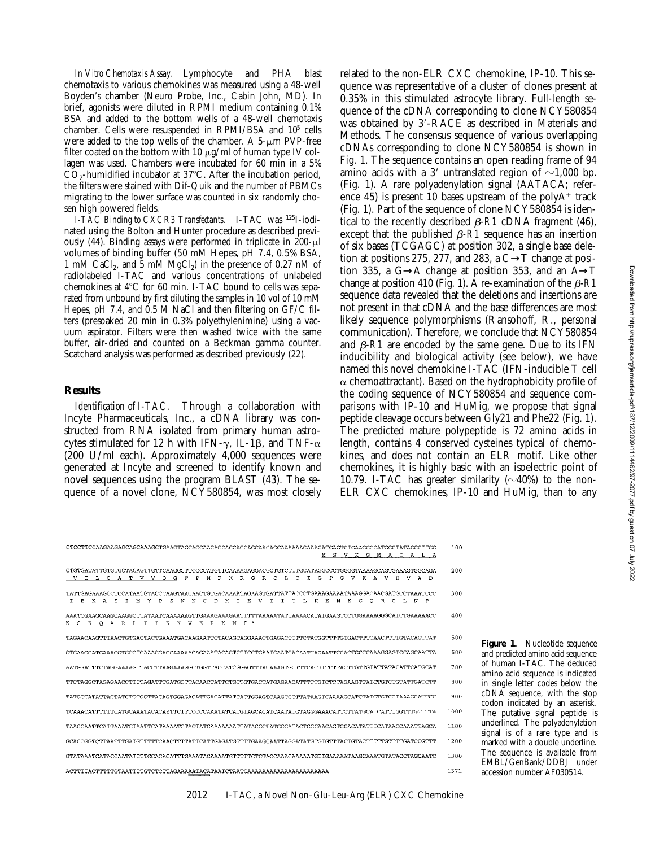*In Vitro Chemotaxis Assay.* Lymphocyte and PHA blast chemotaxis to various chemokines was measured using a 48-well Boyden's chamber (Neuro Probe, Inc., Cabin John, MD). In brief, agonists were diluted in RPMI medium containing 0.1% BSA and added to the bottom wells of a 48-well chemotaxis chamber. Cells were resuspended in RPMI/BSA and 105 cells were added to the top wells of the chamber. A  $5-\mu m$  PVP-free filter coated on the bottom with 10  $\mu$ g/ml of human type IV collagen was used. Chambers were incubated for 60 min in a 5%  $CO<sub>2</sub>$ -humidified incubator at 37 $\degree$ C. After the incubation period, the filters were stained with Dif-Quik and the number of PBMCs migrating to the lower surface was counted in six randomly chosen high powered fields.

*I-TAC Binding to CXCR3 Transfectants.* I-TAC was 125I-iodinated using the Bolton and Hunter procedure as described previously  $(44)$ . Binding assays were performed in triplicate in 200- $\mu$ l volumes of binding buffer (50 mM Hepes, pH 7.4, 0.5% BSA, 1 mM CaCl<sub>2</sub>, and 5 mM MgCl<sub>2</sub>) in the presence of 0.27 nM of radiolabeled I-TAC and various concentrations of unlabeled chemokines at  $4^{\circ}$ C for 60 min. I-TAC bound to cells was separated from unbound by first diluting the samples in 10 vol of 10 mM Hepes, pH 7.4, and 0.5 M NaCl and then filtering on GF/C filters (presoaked 20 min in 0.3% polyethylenimine) using a vacuum aspirator. Filters were then washed twice with the same buffer, air-dried and counted on a Beckman gamma counter. Scatchard analysis was performed as described previously (22).

#### **Results**

*Identification of I-TAC.* Through a collaboration with Incyte Pharmaceuticals, Inc., a cDNA library was constructed from RNA isolated from primary human astrocytes stimulated for 12 h with IFN- $\gamma$ , IL-1 $\beta$ , and TNF- $\alpha$ (200 U/ml each). Approximately 4,000 sequences were generated at Incyte and screened to identify known and novel sequences using the program BLAST (43). The sequence of a novel clone, NCY580854, was most closely related to the non-ELR CXC chemokine, IP-10. This sequence was representative of a cluster of clones present at 0.35% in this stimulated astrocyte library. Full-length sequence of the cDNA corresponding to clone NCY580854 was obtained by 3'-RACE as described in Materials and Methods. The consensus sequence of various overlapping cDNAs corresponding to clone NCY580854 is shown in Fig. 1. The sequence contains an open reading frame of 94 amino acids with a 3' untranslated region of  $\sim$ 1,000 bp. (Fig. 1). A rare polyadenylation signal (AATACA; reference 45) is present 10 bases upstream of the poly $A^+$  track (Fig. 1). Part of the sequence of clone NCY580854 is identical to the recently described  $\beta$ -R1 cDNA fragment (46), except that the published  $\beta$ -R1 sequence has an insertion of six bases (TCGAGC) at position 302, a single base deletion at positions 275, 277, and 283, a  $C \rightarrow T$  change at position 335, a G→A change at position 353, and an  $A\rightarrow T$ change at position 410 (Fig. 1). A re-examination of the  $\beta$ -R1 sequence data revealed that the deletions and insertions are not present in that cDNA and the base differences are most likely sequence polymorphisms (Ransohoff, R., personal communication). Therefore, we conclude that NCY580854 and  $\beta$ -R1 are encoded by the same gene. Due to its IFN inducibility and biological activity (see below), we have named this novel chemokine I-TAC (IFN-inducible T cell  $\alpha$  chemoattractant). Based on the hydrophobicity profile of the coding sequence of NCY580854 and sequence comparisons with IP-10 and HuMig, we propose that signal peptide cleavage occurs between Gly21 and Phe22 (Fig. 1). The predicted mature polypeptide is 72 amino acids in length, contains 4 conserved cysteines typical of chemokines, and does not contain an ELR motif. Like other chemokines, it is highly basic with an isoelectric point of 10.79. I-TAC has greater similarity  $(\sim 40\%)$  to the non-ELR CXC chemokines, IP-10 and HuMig, than to any

| M S V K G M A I A L A                                                                                                                                                                                                    | 100  |
|--------------------------------------------------------------------------------------------------------------------------------------------------------------------------------------------------------------------------|------|
| CTGTGATATTGTGTGCTACAGTTGTTCAAGGCTTCCCCATGTTCAAAAGAGGACGCTGTCTTTGCATAGGCCCTGGGGTAAAAGCAGTGAAAGTGGCAGA<br>RCLC<br>T<br>G<br>I L C A T V V O G F<br>P<br>$M$ F<br>K R G<br>P<br>G.<br>V K A V K V A<br>- D                  | 200  |
| s<br>D.<br>$\mathbf{K}$<br>T.<br>Е<br>v<br>T.<br>$\mathbf{K}$<br>- E.<br>к<br>P<br>E<br>KA<br>S.<br>м<br>Y<br>P<br>N<br>N<br>$\epsilon$<br>$\mathbf{T}$<br>T<br>т.<br>N<br>G.<br>$\Omega$<br>R.<br>C.<br>L N<br>T.<br>τ. | 300  |
| I I K K V E R K N F *<br>K S<br>K O<br>ARL                                                                                                                                                                               | 400  |
| TAGAACAAGTTTAACTGTGACTACTGAAATGACAAGAATTCTACAGTAGGAAACTGAGACTTTTCTATGGTTTTGTGACTTTCAACTTTGTACAGTTAT                                                                                                                      | 500  |
|                                                                                                                                                                                                                          | 600  |
| AATGGATTTCTAGGAAAAGCTACCTTAAGAAAGGCTGGTTACCATCGGAGTTTACAAAGTGCTTTCACGTTCTTACTTGTTGTATTATACATTCATGCAT                                                                                                                     | 700  |
|                                                                                                                                                                                                                          | 800  |
| TATGCTATATTACTATCTGTGGTTACAGTGGAGACATTGACATTATTACTGGAGTCAAGCCCTTATAAGTCAAAAGCATCTATGTGGTGAAAGCATTCC                                                                                                                      | 900  |
|                                                                                                                                                                                                                          | 1000 |
| TAACCAATTCATTAAATGTAATTCATAAAATGTACTATGAAAAAATTATACGCTATGGGATACTGGCAACAGTGCACATATTTCATAACCAAATTAGCA                                                                                                                      | 1100 |
|                                                                                                                                                                                                                          | 1200 |
| GTATAAATGATAGCAATATCTTGGACACATTTGAAATACAAAATGTTTTTGTCTACCAAAGAAAAATGTTGAAAAATAAGCAAATGTATACCTAGCAATC                                                                                                                     | 1300 |
|                                                                                                                                                                                                                          | 1371 |

Figure 1. Nucleotide sequence and predicted amino acid sequence of human I-TAC. The deduced amino acid sequence is indicated in single letter codes below the cDNA sequence, with the stop codon indicated by an asterisk. The putative signal peptide is underlined. The polyadenylation signal is of a rare type and is marked with a double underline. The sequence is available from EMBL/GenBank/DDBJ under accession number AF030514.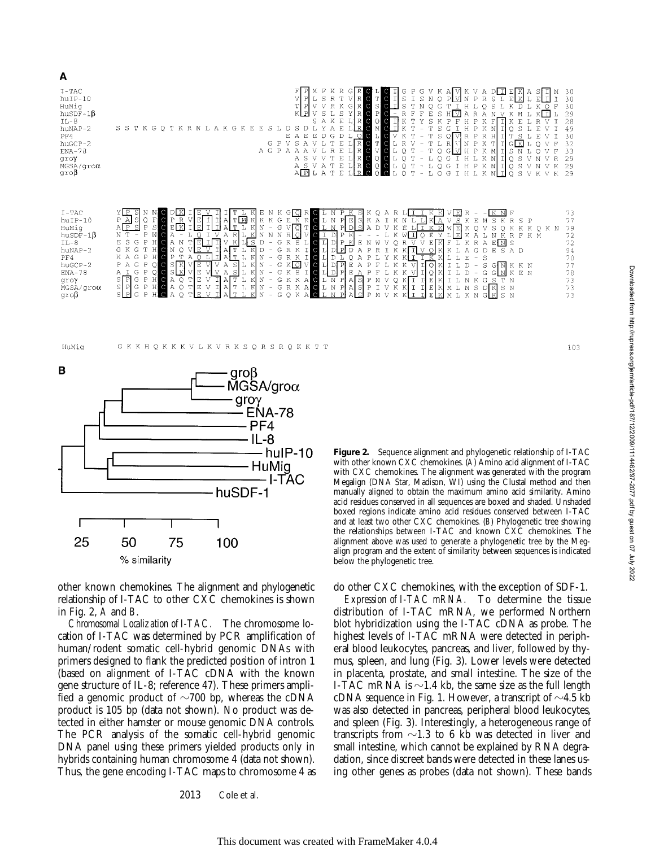



A





other known chemokines. The alignment and phylogenetic relationship of I-TAC to other CXC chemokines is shown in Fig. 2, *A* and *B*.

*Chromosomal Localization of I-TAC.* The chromosome location of I-TAC was determined by PCR amplification of human/rodent somatic cell-hybrid genomic DNAs with primers designed to flank the predicted position of intron 1 (based on alignment of I-TAC cDNA with the known gene structure of IL-8; reference 47). These primers amplified a genomic product of  $\sim$ 700 bp, whereas the cDNA product is 105 bp (data not shown). No product was detected in either hamster or mouse genomic DNA controls. The PCR analysis of the somatic cell-hybrid genomic DNA panel using these primers yielded products only in hybrids containing human chromosome 4 (data not shown). Thus, the gene encoding I-TAC maps to chromosome 4 as

2013 Cole et al.

**Figure 2.** Sequence alignment and phylogenetic relationship of I-TAC with other known CXC chemokines. (*A*) Amino acid alignment of I-TAC with CXC chemokines. The alignment was generated with the program Megalign (DNA Star, Madison, WI) using the Clustal method and then manually aligned to obtain the maximum amino acid similarity. Amino acid residues conserved in all sequences are boxed and shaded. Unshaded boxed regions indicate amino acid residues conserved between I-TAC and at least two other CXC chemokines. (*B*) Phylogenetic tree showing the relationships between I-TAC and known CXC chemokines. The alignment above was used to generate a phylogenetic tree by the Megalign program and the extent of similarity between sequences is indicated below the phylogenetic tree.

do other CXC chemokines, with the exception of SDF-1.

*Expression of I-TAC mRNA.* To determine the tissue distribution of I-TAC mRNA, we performed Northern blot hybridization using the I-TAC cDNA as probe. The highest levels of I-TAC mRNA were detected in peripheral blood leukocytes, pancreas, and liver, followed by thymus, spleen, and lung (Fig. 3). Lower levels were detected in placenta, prostate, and small intestine. The size of the I-TAC mRNA is  $\sim$ 1.4 kb, the same size as the full length cDNA sequence in Fig. 1. However, a transcript of  $\sim$ 4.5 kb was also detected in pancreas, peripheral blood leukocytes, and spleen (Fig. 3). Interestingly, a heterogeneous range of transcripts from  $\sim$ 1.3 to 6 kb was detected in liver and small intestine, which cannot be explained by RNA degradation, since discreet bands were detected in these lanes using other genes as probes (data not shown). These bands

103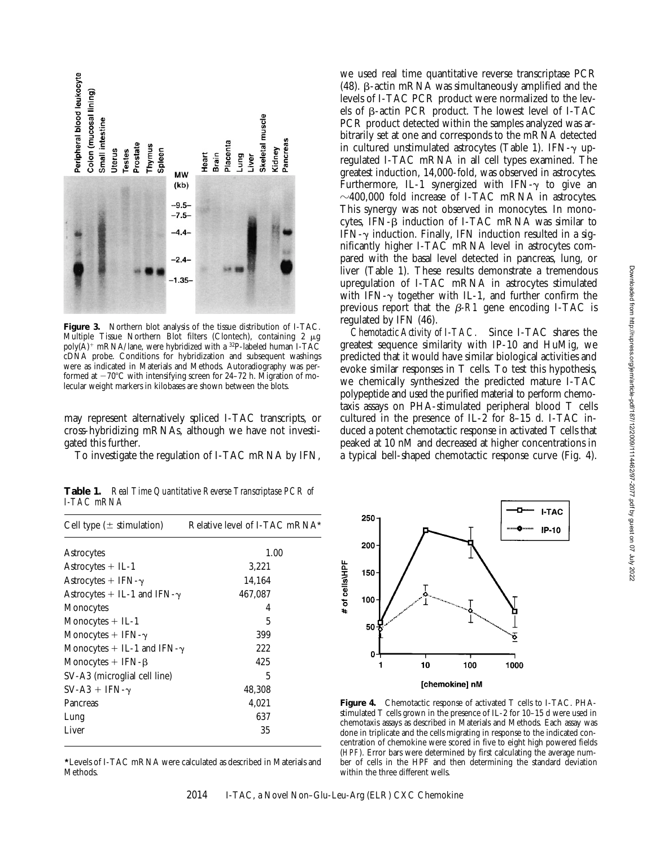

**Figure 3.** Northern blot analysis of the tissue distribution of I-TAC. Multiple Tissue Northern Blot filters (Clontech), containing 2 µg poly( $\overline{A}$ )<sup>+</sup> mRNA/lane, were hybridized with a <sup>32</sup>P-labeled human I-TAC cDNA probe. Conditions for hybridization and subsequent washings were as indicated in Materials and Methods. Autoradiography was performed at  $-70^{\circ}$ C with intensifying screen for 24–72 h. Migration of molecular weight markers in kilobases are shown between the blots.

may represent alternatively spliced I-TAC transcripts, or cross-hybridizing mRNAs, although we have not investigated this further.

To investigate the regulation of I-TAC mRNA by IFN,

**Table 1.** *Real Time Quantitative Reverse Transcriptase PCR of I-TAC mRNA*

| Cell type $(\pm$ stimulation)       | Relative level of I-TAC mRNA* |
|-------------------------------------|-------------------------------|
| Astrocytes                          | 1.00                          |
| Astrocytes + IL-1                   | 3,221                         |
| Astrocytes + IFN- $\gamma$          | 14,164                        |
| Astrocytes + IL-1 and IFN- $\gamma$ | 467,087                       |
| Monocytes                           | 4                             |
| Monocytes $+$ IL-1                  | 5                             |
| Monocytes + IFN- $\gamma$           | 399                           |
| Monocytes + IL-1 and IFN- $\gamma$  | 222                           |
| Monocytes $+$ IFN- $\beta$          | 425                           |
| SV-A3 (microglial cell line)        | 5                             |
| $SV-A3 + IFN-\gamma$                | 48,308                        |
| Pancreas                            | 4,021                         |
| Lung                                | 637                           |
| Liver                               | 35                            |
|                                     |                               |

**\***Levels of I-TAC mRNA were calculated as described in Materials and Methods.

we used real time quantitative reverse transcriptase PCR (48).  $\beta$ -actin mRNA was simultaneously amplified and the levels of I-TAC PCR product were normalized to the levels of  $\beta$ -actin PCR product. The lowest level of I-TAC PCR product detected within the samples analyzed was arbitrarily set at one and corresponds to the mRNA detected in cultured unstimulated astrocytes (Table 1). IFN- $\gamma$  upregulated I-TAC mRNA in all cell types examined. The greatest induction, 14,000-fold, was observed in astrocytes. Furthermore, IL-1 synergized with IFN- $\gamma$  to give an  $\sim$ 400,000 fold increase of I-TAC mRNA in astrocytes. This synergy was not observed in monocytes. In monocytes, IFN- $\beta$  induction of I-TAC mRNA was similar to IFN- $\gamma$  induction. Finally, IFN induction resulted in a significantly higher I-TAC mRNA level in astrocytes compared with the basal level detected in pancreas, lung, or liver (Table 1). These results demonstrate a tremendous upregulation of I-TAC mRNA in astrocytes stimulated with IFN- $\gamma$  together with IL-1, and further confirm the previous report that the  $\beta$ -R1 gene encoding I-TAC is regulated by IFN (46).

*Chemotactic Activity of I-TAC.* Since I-TAC shares the greatest sequence similarity with IP-10 and HuMig, we predicted that it would have similar biological activities and evoke similar responses in T cells. To test this hypothesis, we chemically synthesized the predicted mature I-TAC polypeptide and used the purified material to perform chemotaxis assays on PHA-stimulated peripheral blood T cells cultured in the presence of IL-2 for 8–15 d. I-TAC induced a potent chemotactic response in activated T cells that peaked at 10 nM and decreased at higher concentrations in a typical bell-shaped chemotactic response curve (Fig. 4).



**Figure 4.** Chemotactic response of activated T cells to I-TAC. PHAstimulated T cells grown in the presence of IL-2 for 10–15 d were used in chemotaxis assays as described in Materials and Methods. Each assay was done in triplicate and the cells migrating in response to the indicated concentration of chemokine were scored in five to eight high powered fields (*HPF*). Error bars were determined by first calculating the average number of cells in the HPF and then determining the standard deviation within the three different wells.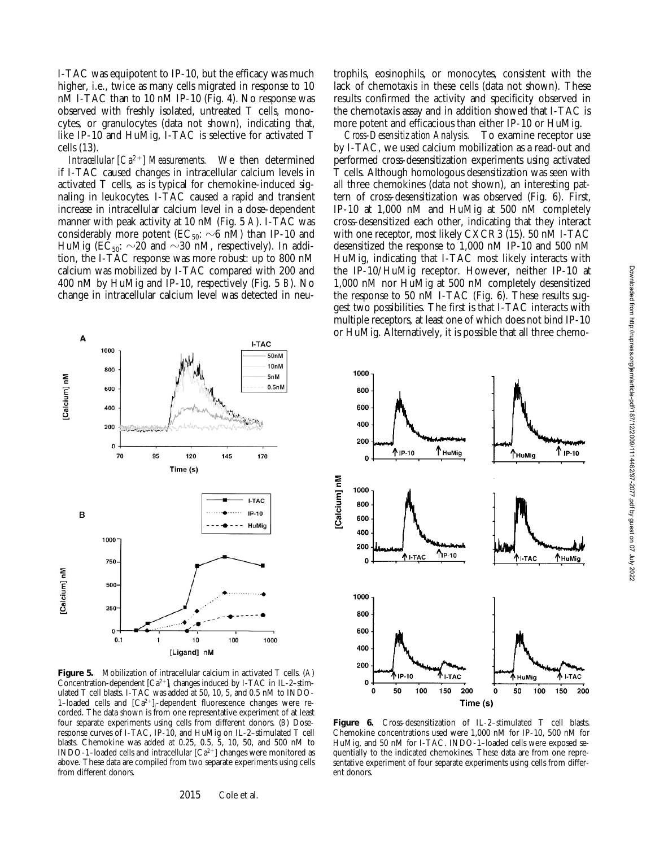I-TAC was equipotent to IP-10, but the efficacy was much higher, i.e., twice as many cells migrated in response to 10 nM I-TAC than to 10 nM IP-10 (Fig. 4). No response was observed with freshly isolated, untreated T cells, monocytes, or granulocytes (data not shown), indicating that, like IP-10 and HuMig, I-TAC is selective for activated T cells (13).

*Intracellular [Ca<sup>2+</sup>] Measurements.* We then determined if I-TAC caused changes in intracellular calcium levels in activated T cells, as is typical for chemokine-induced signaling in leukocytes. I-TAC caused a rapid and transient increase in intracellular calcium level in a dose-dependent manner with peak activity at 10 nM (Fig. 5 *A*). I-TAC was considerably more potent (EC<sub>50</sub>:  $\sim$ 6 nM) than IP-10 and HuMig (EC<sub>50</sub>:  $\sim$ 20 and  $\sim$ 30 nM, respectively). In addition, the I-TAC response was more robust: up to 800 nM calcium was mobilized by I-TAC compared with 200 and 400 nM by HuMig and IP-10, respectively (Fig. 5 *B*). No change in intracellular calcium level was detected in neu-

I-TAC

170

I-TAC

 $IP-10$ 

HuMig

50<sub>nM</sub>  $10nM$ 

5<sub>nM</sub>

 $0.5<sub>nM</sub>$ 

A

B

[Calcium] nM

Calcium] nM

1000

800

600

400

200

1000

750

500

250

 $0 0.1$ 

 $\mathbf{0}$ 

70

95

1

120

Time (s)

145

trophils, eosinophils, or monocytes, consistent with the lack of chemotaxis in these cells (data not shown). These results confirmed the activity and specificity observed in the chemotaxis assay and in addition showed that I-TAC is more potent and efficacious than either IP-10 or HuMig.

*Cross-Desensitization Analysis.* To examine receptor use by I-TAC, we used calcium mobilization as a read-out and performed cross-desensitization experiments using activated T cells. Although homologous desensitization was seen with all three chemokines (data not shown), an interesting pattern of cross-desensitization was observed (Fig. 6). First, IP-10 at 1,000 nM and HuMig at 500 nM completely cross-desensitized each other, indicating that they interact with one receptor, most likely CXCR3 (15). 50 nM I-TAC desensitized the response to 1,000 nM IP-10 and 500 nM HuMig, indicating that I-TAC most likely interacts with the IP-10/HuMig receptor. However, neither IP-10 at 1,000 nM nor HuMig at 500 nM completely desensitized the response to 50 nM I-TAC (Fig. 6). These results suggest two possibilities. The first is that I-TAC interacts with multiple receptors, at least one of which does not bind IP-10 or HuMig. Alternatively, it is possible that all three chemo-



 $10$ 

[Ligand] nM

100

1000

2015 Cole et al. ent donors.



Chemokine concentrations used were 1,000 nM for IP-10, 500 nM for HuMig, and 50 nM for I-TAC. INDO-1–loaded cells were exposed sequentially to the indicated chemokines. These data are from one representative experiment of four separate experiments using cells from differ-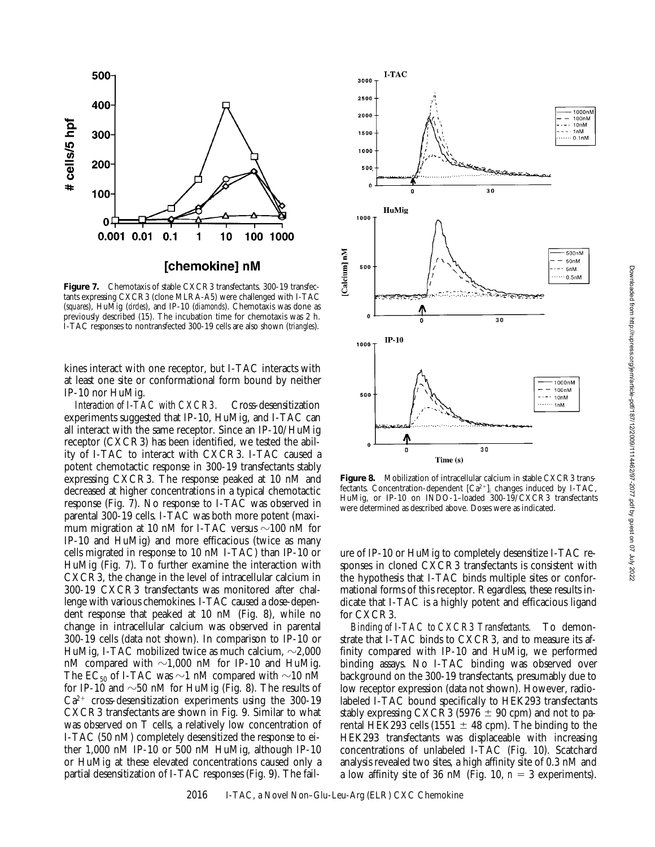![](_page_7_Figure_1.jpeg)

Figure 7. Chemotaxis of stable CXCR3 transfectants. 300-19 transfectants expressing CXCR3 (clone MLRA-A5) were challenged with I-TAC (*squares*), HuMig (*circles*), and IP-10 (*diamonds*). Chemotaxis was done as previously described (15). The incubation time for chemotaxis was 2 h. I-TAC responses to nontransfected 300-19 cells are also shown (*triangles*).

kines interact with one receptor, but I-TAC interacts with at least one site or conformational form bound by neither IP-10 nor HuMig.

*Interaction of I-TAC with CXCR3.* Cross-desensitization experiments suggested that IP-10, HuMig, and I-TAC can all interact with the same receptor. Since an IP-10/HuMig receptor (CXCR3) has been identified, we tested the ability of I-TAC to interact with CXCR3. I-TAC caused a potent chemotactic response in 300-19 transfectants stably expressing CXCR3. The response peaked at 10 nM and decreased at higher concentrations in a typical chemotactic response (Fig. 7). No response to I-TAC was observed in parental 300-19 cells. I-TAC was both more potent (maximum migration at 10 nM for I-TAC versus  $\sim$ 100 nM for IP-10 and HuMig) and more efficacious (twice as many cells migrated in response to 10 nM I-TAC) than IP-10 or HuMig (Fig. 7). To further examine the interaction with CXCR3, the change in the level of intracellular calcium in 300-19 CXCR3 transfectants was monitored after challenge with various chemokines. I-TAC caused a dose-dependent response that peaked at 10 nM (Fig. 8), while no change in intracellular calcium was observed in parental 300-19 cells (data not shown). In comparison to IP-10 or HuMig, I-TAC mobilized twice as much calcium,  $\sim$ 2,000 nM compared with  $\sim$ 1,000 nM for IP-10 and HuMig. The EC<sub>50</sub> of I-TAC was  $\sim$ 1 nM compared with  $\sim$ 10 nM for IP-10 and  $\sim$ 50 nM for HuMig (Fig. 8). The results of  $Ca^{2+}$  cross-desensitization experiments using the 300-19 CXCR3 transfectants are shown in Fig. 9. Similar to what was observed on T cells, a relatively low concentration of I-TAC (50 nM) completely desensitized the response to either 1,000 nM IP-10 or 500 nM HuMig, although IP-10 or HuMig at these elevated concentrations caused only a partial desensitization of I-TAC responses (Fig. 9). The fail-

![](_page_7_Figure_5.jpeg)

Figure 8. Mobilization of intracellular calcium in stable CXCR3 transfectants. Concentration-dependent  $[Ca^{2+}]_i$  changes induced by I-TAC, HuMig, or IP-10 on INDO-1–loaded 300-19/CXCR3 transfectants were determined as described above. Doses were as indicated.

ure of IP-10 or HuMig to completely desensitize I-TAC responses in cloned CXCR3 transfectants is consistent with the hypothesis that I-TAC binds multiple sites or conformational forms of this receptor. Regardless, these results indicate that I-TAC is a highly potent and efficacious ligand for CXCR3.

*Binding of I-TAC to CXCR3 Transfectants.* To demonstrate that I-TAC binds to CXCR3, and to measure its affinity compared with IP-10 and HuMig, we performed binding assays. No I-TAC binding was observed over background on the 300-19 transfectants, presumably due to low receptor expression (data not shown). However, radiolabeled I-TAC bound specifically to HEK293 transfectants stably expressing CXCR3 (5976  $\pm$  90 cpm) and not to parental HEK293 cells (1551  $\pm$  48 cpm). The binding to the HEK293 transfectants was displaceable with increasing concentrations of unlabeled I-TAC (Fig. 10). Scatchard analysis revealed two sites, a high affinity site of 0.3 nM and a low affinity site of 36 nM (Fig. 10,  $n = 3$  experiments).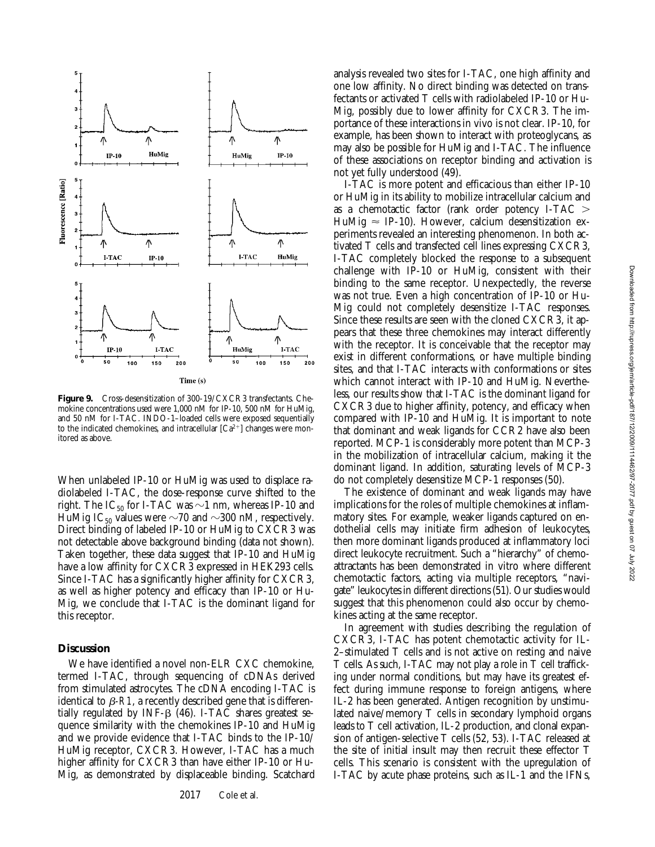![](_page_8_Figure_1.jpeg)

**Figure 9.** Cross-desensitization of 300-19/CXCR3 transfectants. Chemokine concentrations used were 1,000 nM for IP-10, 500 nM for HuMig, and 50 nM for I-TAC. INDO-1–loaded cells were exposed sequentially to the indicated chemokines, and intracellular  $[Ca^{2+}]$  changes were monitored as above.

When unlabeled IP-10 or HuMig was used to displace radiolabeled I-TAC, the dose-response curve shifted to the right. The IC<sub>50</sub> for I-TAC was  $\sim$ 1 nm, whereas IP-10 and HuMig IC<sub>50</sub> values were  $\sim$ 70 and  $\sim$ 300 nM, respectively. Direct binding of labeled IP-10 or HuMig to CXCR3 was not detectable above background binding (data not shown). Taken together, these data suggest that IP-10 and HuMig have a low affinity for CXCR3 expressed in HEK293 cells. Since I-TAC has a significantly higher affinity for CXCR3, as well as higher potency and efficacy than IP-10 or Hu-Mig, we conclude that I-TAC is the dominant ligand for this receptor.

### **Discussion**

We have identified a novel non-ELR CXC chemokine, termed I-TAC, through sequencing of cDNAs derived from stimulated astrocytes. The cDNA encoding I-TAC is identical to  $\beta$ -R1, a recently described gene that is differentially regulated by INF- $\beta$  (46). I-TAC shares greatest sequence similarity with the chemokines IP-10 and HuMig and we provide evidence that I-TAC binds to the IP-10/ HuMig receptor, CXCR3. However, I-TAC has a much higher affinity for CXCR3 than have either IP-10 or Hu-Mig, as demonstrated by displaceable binding. Scatchard analysis revealed two sites for I-TAC, one high affinity and one low affinity. No direct binding was detected on transfectants or activated T cells with radiolabeled IP-10 or Hu-Mig, possibly due to lower affinity for CXCR3. The importance of these interactions in vivo is not clear. IP-10, for example, has been shown to interact with proteoglycans, as may also be possible for HuMig and I-TAC. The influence of these associations on receptor binding and activation is not yet fully understood (49).

I-TAC is more potent and efficacious than either IP-10 or HuMig in its ability to mobilize intracellular calcium and as a chemotactic factor (rank order potency I-TAC  $>$ HuMig  $\approx$  IP-10). However, calcium desensitization experiments revealed an interesting phenomenon. In both activated T cells and transfected cell lines expressing CXCR3, I-TAC completely blocked the response to a subsequent challenge with IP-10 or HuMig, consistent with their binding to the same receptor. Unexpectedly, the reverse was not true. Even a high concentration of IP-10 or Hu-Mig could not completely desensitize I-TAC responses. Since these results are seen with the cloned CXCR3, it appears that these three chemokines may interact differently with the receptor. It is conceivable that the receptor may exist in different conformations, or have multiple binding sites, and that I-TAC interacts with conformations or sites which cannot interact with IP-10 and HuMig. Nevertheless, our results show that I-TAC is the dominant ligand for CXCR3 due to higher affinity, potency, and efficacy when compared with IP-10 and HuMig. It is important to note that dominant and weak ligands for CCR2 have also been reported. MCP-1 is considerably more potent than MCP-3 in the mobilization of intracellular calcium, making it the dominant ligand. In addition, saturating levels of MCP-3 do not completely desensitize MCP-1 responses (50).

The existence of dominant and weak ligands may have implications for the roles of multiple chemokines at inflammatory sites. For example, weaker ligands captured on endothelial cells may initiate firm adhesion of leukocytes, then more dominant ligands produced at inflammatory loci direct leukocyte recruitment. Such a "hierarchy" of chemoattractants has been demonstrated in vitro where different chemotactic factors, acting via multiple receptors, "navigate" leukocytes in different directions (51). Our studies would suggest that this phenomenon could also occur by chemokines acting at the same receptor.

In agreement with studies describing the regulation of CXCR3, I-TAC has potent chemotactic activity for IL-2–stimulated T cells and is not active on resting and naive T cells. As such, I-TAC may not play a role in T cell trafficking under normal conditions, but may have its greatest effect during immune response to foreign antigens, where IL-2 has been generated. Antigen recognition by unstimulated naive/memory T cells in secondary lymphoid organs leads to T cell activation, IL-2 production, and clonal expansion of antigen-selective T cells (52, 53). I-TAC released at the site of initial insult may then recruit these effector T cells. This scenario is consistent with the upregulation of I-TAC by acute phase proteins, such as IL-1 and the IFNs,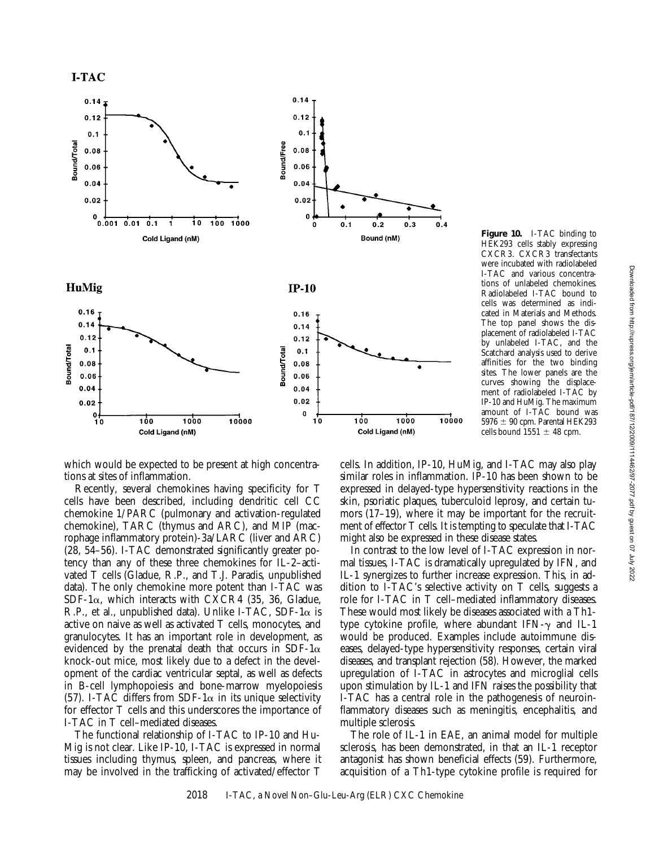![](_page_9_Figure_1.jpeg)

cells. In addition, IP-10, HuMig, and I-TAC may also play similar roles in inflammation. IP-10 has been shown to be expressed in delayed-type hypersensitivity reactions in the skin, psoriatic plaques, tuberculoid leprosy, and certain tumors (17–19), where it may be important for the recruitment of effector T cells. It is tempting to speculate that I-TAC might also be expressed in these disease states. cells bound  $1551 \pm 48$  cpm.

**Figure 10.** I-TAC binding to HEK293 cells stably expressing CXCR3. CXCR3 transfectants were incubated with radiolabeled I-TAC and various concentrations of unlabeled chemokines. Radiolabeled I-TAC bound to cells was determined as indicated in Materials and Methods. The top panel shows the displacement of radiolabeled I-TAC by unlabeled I-TAC, and the Scatchard analysis used to derive affinities for the two binding sites. The lower panels are the curves showing the displacement of radiolabeled I-TAC by IP-10 and HuMig. The maximum amount of I-TAC bound was 5976  $\pm$  90 cpm. Parental HEK293

In contrast to the low level of I-TAC expression in normal tissues, I-TAC is dramatically upregulated by IFN, and IL-1 synergizes to further increase expression. This, in addition to I-TAC's selective activity on T cells, suggests a role for I-TAC in T cell–mediated inflammatory diseases. These would most likely be diseases associated with a Th1 type cytokine profile, where abundant IFN- $\gamma$  and IL-1 would be produced. Examples include autoimmune diseases, delayed-type hypersensitivity responses, certain viral diseases, and transplant rejection (58). However, the marked upregulation of I-TAC in astrocytes and microglial cells upon stimulation by IL-1 and IFN raises the possibility that I-TAC has a central role in the pathogenesis of neuroinflammatory diseases such as meningitis, encephalitis, and multiple sclerosis.

The role of IL-1 in EAE, an animal model for multiple sclerosis, has been demonstrated, in that an IL-1 receptor antagonist has shown beneficial effects (59). Furthermore, acquisition of a Th1-type cytokine profile is required for

which would be expected to be present at high concentrations at sites of inflammation.

Recently, several chemokines having specificity for T cells have been described, including dendritic cell CC chemokine 1/PARC (pulmonary and activation-regulated chemokine), TARC (thymus and ARC), and MIP (macrophage inflammatory protein)-3a/LARC (liver and ARC) (28, 54–56). I-TAC demonstrated significantly greater potency than any of these three chemokines for IL-2–activated T cells (Gladue, R.P., and T.J. Paradis, unpublished data). The only chemokine more potent than I-TAC was SDF-1 $\alpha$ , which interacts with CXCR4 (35, 36, Gladue, R.P., et al., unpublished data). Unlike I-TAC, SDF-1 $\alpha$  is active on naive as well as activated T cells, monocytes, and granulocytes. It has an important role in development, as evidenced by the prenatal death that occurs in SDF-1 $\alpha$ knock-out mice, most likely due to a defect in the development of the cardiac ventricular septal, as well as defects in B-cell lymphopoiesis and bone-marrow myelopoiesis (57). I-TAC differs from SDF-1 $\alpha$  in its unique selectivity for effector T cells and this underscores the importance of I-TAC in T cell–mediated diseases.

The functional relationship of I-TAC to IP-10 and Hu-Mig is not clear. Like IP-10, I-TAC is expressed in normal tissues including thymus, spleen, and pancreas, where it may be involved in the trafficking of activated/effector T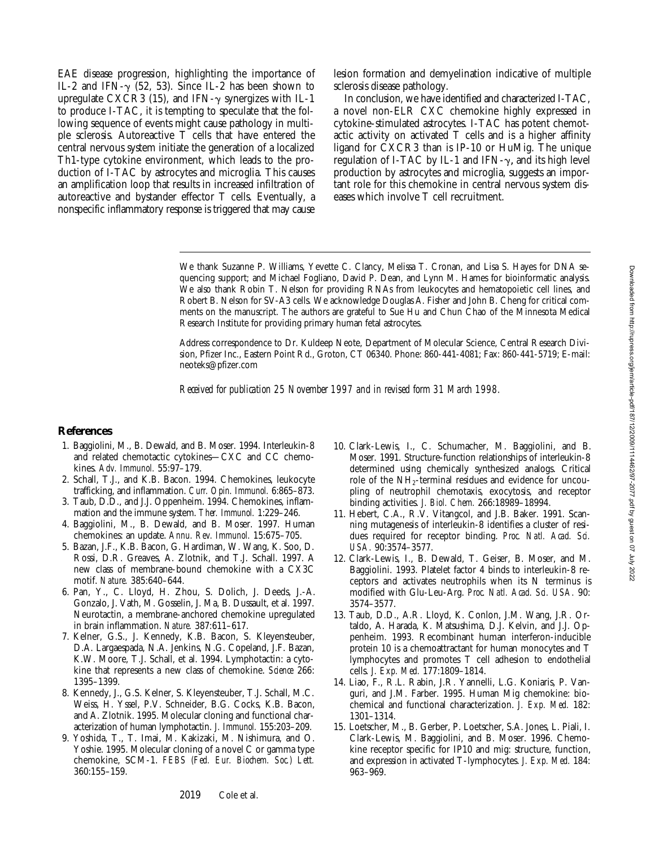EAE disease progression, highlighting the importance of IL-2 and IFN- $\gamma$  (52, 53). Since IL-2 has been shown to upregulate CXCR3 (15), and IFN- $\gamma$  synergizes with IL-1 to produce I-TAC, it is tempting to speculate that the following sequence of events might cause pathology in multiple sclerosis. Autoreactive T cells that have entered the central nervous system initiate the generation of a localized Th1-type cytokine environment, which leads to the production of I-TAC by astrocytes and microglia. This causes an amplification loop that results in increased infiltration of autoreactive and bystander effector T cells. Eventually, a nonspecific inflammatory response is triggered that may cause

lesion formation and demyelination indicative of multiple sclerosis disease pathology.

In conclusion, we have identified and characterized I-TAC, a novel non-ELR CXC chemokine highly expressed in cytokine-stimulated astrocytes. I-TAC has potent chemotactic activity on activated T cells and is a higher affinity ligand for CXCR3 than is IP-10 or HuMig. The unique regulation of I-TAC by IL-1 and IFN- $\gamma$ , and its high level production by astrocytes and microglia, suggests an important role for this chemokine in central nervous system diseases which involve T cell recruitment.

We thank Suzanne P. Williams, Yevette C. Clancy, Melissa T. Cronan, and Lisa S. Hayes for DNA sequencing support; and Michael Fogliano, David P. Dean, and Lynn M. Hames for bioinformatic analysis. We also thank Robin T. Nelson for providing RNAs from leukocytes and hematopoietic cell lines, and Robert B. Nelson for SV-A3 cells. We acknowledge Douglas A. Fisher and John B. Cheng for critical comments on the manuscript. The authors are grateful to Sue Hu and Chun Chao of the Minnesota Medical Research Institute for providing primary human fetal astrocytes.

Address correspondence to Dr. Kuldeep Neote, Department of Molecular Science, Central Research Division, Pfizer Inc., Eastern Point Rd., Groton, CT 06340. Phone: 860-441-4081; Fax: 860-441-5719; E-mail: neoteks@pfizer.com

*Received for publication 25 November 1997 and in revised form 31 March 1998.*

#### **References**

- 1. Baggiolini, M., B. Dewald, and B. Moser. 1994. Interleukin-8 and related chemotactic cytokines—CXC and CC chemokines. *Adv. Immunol.* 55:97–179.
- 2. Schall, T.J., and K.B. Bacon. 1994. Chemokines, leukocyte trafficking, and inflammation. *Curr. Opin. Immunol.* 6:865–873.
- 3. Taub, D.D., and J.J. Oppenheim. 1994. Chemokines, inflammation and the immune system. *Ther. Immunol.* 1:229–246.
- 4. Baggiolini, M., B. Dewald, and B. Moser. 1997. Human chemokines: an update. *Annu. Rev. Immunol.* 15:675–705.
- 5. Bazan, J.F., K.B. Bacon, G. Hardiman, W. Wang, K. Soo, D. Rossi, D.R. Greaves, A. Zlotnik, and T.J. Schall. 1997. A new class of membrane-bound chemokine with a CX3C motif. *Nature.* 385:640–644.
- 6. Pan, Y., C. Lloyd, H. Zhou, S. Dolich, J. Deeds, J.-A. Gonzalo, J. Vath, M. Gosselin, J. Ma, B. Dussault, et al. 1997. Neurotactin, a membrane-anchored chemokine upregulated in brain inflammation. *Nature.* 387:611–617.
- 7. Kelner, G.S., J. Kennedy, K.B. Bacon, S. Kleyensteuber, D.A. Largaespada, N.A. Jenkins, N.G. Copeland, J.F. Bazan, K.W. Moore, T.J. Schall, et al. 1994. Lymphotactin: a cytokine that represents a new class of chemokine. *Science* 266: 1395–1399.
- 8. Kennedy, J., G.S. Kelner, S. Kleyensteuber, T.J. Schall, M.C. Weiss, H. Yssel, P.V. Schneider, B.G. Cocks, K.B. Bacon, and A. Zlotnik. 1995. Molecular cloning and functional characterization of human lymphotactin. *J. Immunol.* 155:203–209.
- 9. Yoshida, T., T. Imai, M. Kakizaki, M. Nishimura, and O. Yoshie. 1995. Molecular cloning of a novel C or gamma type chemokine, SCM-1. *FEBS (Fed. Eur. Biochem. Soc.) Lett.* 360:155–159.
- 10. Clark-Lewis, I., C. Schumacher, M. Baggiolini, and B. Moser. 1991. Structure-function relationships of interleukin-8 determined using chemically synthesized analogs. Critical role of the NH<sub>2</sub>-terminal residues and evidence for uncoupling of neutrophil chemotaxis, exocytosis, and receptor binding activities. *J. Biol. Chem.* 266:18989–18994.
- 11. Hebert, C.A., R.V. Vitangcol, and J.B. Baker. 1991. Scanning mutagenesis of interleukin-8 identifies a cluster of residues required for receptor binding. *Proc. Natl. Acad. Sci. USA.* 90:3574–3577.
- 12. Clark-Lewis, I., B. Dewald, T. Geiser, B. Moser, and M. Baggiolini. 1993. Platelet factor 4 binds to interleukin-8 receptors and activates neutrophils when its N terminus is modified with Glu-Leu-Arg. *Proc. Natl. Acad. Sci. USA.* 90: 3574–3577.
- 13. Taub, D.D., A.R. Lloyd, K. Conlon, J.M. Wang, J.R. Ortaldo, A. Harada, K. Matsushima, D.J. Kelvin, and J.J. Oppenheim. 1993. Recombinant human interferon-inducible protein 10 is a chemoattractant for human monocytes and T lymphocytes and promotes T cell adhesion to endothelial cells. *J. Exp. Med.* 177:1809–1814.
- 14. Liao, F., R.L. Rabin, J.R. Yannelli, L.G. Koniaris, P. Vanguri, and J.M. Farber. 1995. Human Mig chemokine: biochemical and functional characterization. *J. Exp. Med.* 182: 1301–1314.
- 15. Loetscher, M., B. Gerber, P. Loetscher, S.A. Jones, L. Piali, I. Clark-Lewis, M. Baggiolini, and B. Moser. 1996. Chemokine receptor specific for IP10 and mig: structure, function, and expression in activated T-lymphocytes. *J. Exp. Med.* 184: 963–969.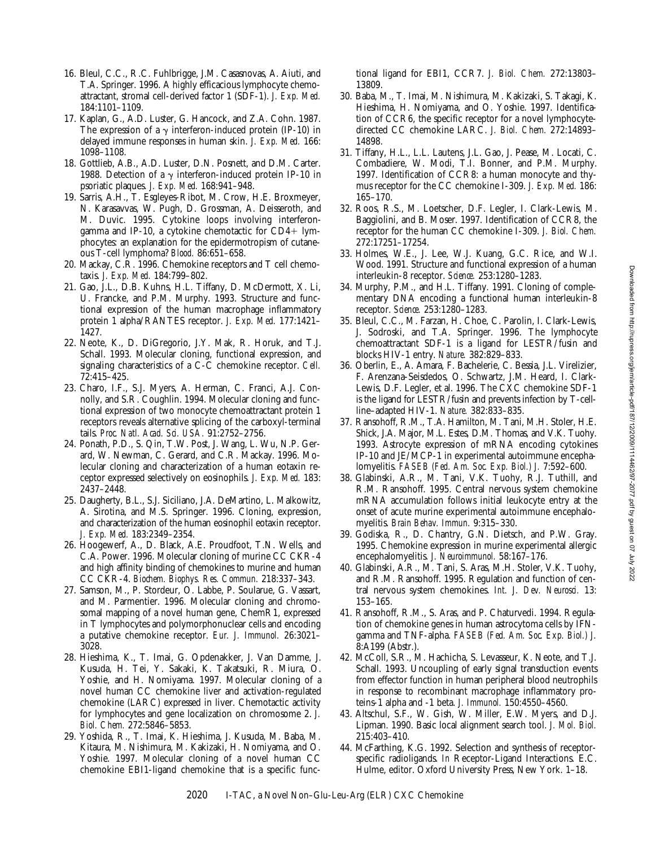- 16. Bleul, C.C., R.C. Fuhlbrigge, J.M. Casasnovas, A. Aiuti, and T.A. Springer. 1996. A highly efficacious lymphocyte chemoattractant, stromal cell-derived factor 1 (SDF-1). *J. Exp. Med.* 184:1101–1109.
- 17. Kaplan, G., A.D. Luster, G. Hancock, and Z.A. Cohn. 1987. The expression of a  $\gamma$  interferon-induced protein (IP-10) in delayed immune responses in human skin. *J. Exp. Med.* 166: 1098–1108.
- 18. Gottlieb, A.B., A.D. Luster, D.N. Posnett, and D.M. Carter. 1988. Detection of a  $\gamma$  interferon-induced protein IP-10 in psoriatic plaques. *J. Exp. Med.* 168:941–948.
- 19. Sarris, A.H., T. Esgleyes-Ribot, M. Crow, H.E. Broxmeyer, N. Karasavvas, W. Pugh, D. Grossman, A. Deisseroth, and M. Duvic. 1995. Cytokine loops involving interferongamma and IP-10, a cytokine chemotactic for  $CD4+$  lymphocytes: an explanation for the epidermotropism of cutaneous T-cell lymphoma? *Blood.* 86:651–658.
- 20. Mackay, C.R. 1996. Chemokine receptors and T cell chemotaxis. *J. Exp. Med.* 184:799–802.
- 21. Gao, J.L., D.B. Kuhns, H.L. Tiffany, D. McDermott, X. Li, U. Francke, and P.M. Murphy. 1993. Structure and functional expression of the human macrophage inflammatory protein 1 alpha/RANTES receptor. *J. Exp. Med.* 177:1421– 1427.
- 22. Neote, K., D. DiGregorio, J.Y. Mak, R. Horuk, and T.J. Schall. 1993. Molecular cloning, functional expression, and signaling characteristics of a C-C chemokine receptor. *Cell.* 72:415–425.
- 23. Charo, I.F., S.J. Myers, A. Herman, C. Franci, A.J. Connolly, and S.R. Coughlin. 1994. Molecular cloning and functional expression of two monocyte chemoattractant protein 1 receptors reveals alternative splicing of the carboxyl-terminal tails. *Proc. Natl. Acad. Sci. USA.* 91:2752–2756.
- 24. Ponath, P.D., S. Qin, T.W. Post, J. Wang, L. Wu, N.P. Gerard, W. Newman, C. Gerard, and C.R. Mackay. 1996. Molecular cloning and characterization of a human eotaxin receptor expressed selectively on eosinophils. *J. Exp. Med.* 183: 2437–2448.
- 25. Daugherty, B.L., S.J. Siciliano, J.A. DeMartino, L. Malkowitz, A. Sirotina, and M.S. Springer. 1996. Cloning, expression, and characterization of the human eosinophil eotaxin receptor. *J. Exp. Med.* 183:2349–2354.
- 26. Hoogewerf, A., D. Black, A.E. Proudfoot, T.N. Wells, and C.A. Power. 1996. Molecular cloning of murine CC CKR-4 and high affinity binding of chemokines to murine and human CC CKR-4. *Biochem. Biophys. Res. Commun.* 218:337–343.
- 27. Samson, M., P. Stordeur, O. Labbe, P. Soularue, G. Vassart, and M. Parmentier. 1996. Molecular cloning and chromosomal mapping of a novel human gene, ChemR1, expressed in T lymphocytes and polymorphonuclear cells and encoding a putative chemokine receptor. *Eur. J. Immunol.* 26:3021– 3028.
- 28. Hieshima, K., T. Imai, G. Opdenakker, J. Van Damme, J. Kusuda, H. Tei, Y. Sakaki, K. Takatsuki, R. Miura, O. Yoshie, and H. Nomiyama. 1997. Molecular cloning of a novel human CC chemokine liver and activation-regulated chemokine (LARC) expressed in liver. Chemotactic activity for lymphocytes and gene localization on chromosome 2. *J. Biol. Chem.* 272:5846–5853.
- 29. Yoshida, R., T. Imai, K. Hieshima, J. Kusuda, M. Baba, M. Kitaura, M. Nishimura, M. Kakizaki, H. Nomiyama, and O. Yoshie. 1997. Molecular cloning of a novel human CC chemokine EBI1-ligand chemokine that is a specific func-

tional ligand for EBI1, CCR7. *J. Biol. Chem.* 272:13803– 13809.

- 30. Baba, M., T. Imai, M. Nishimura, M. Kakizaki, S. Takagi, K. Hieshima, H. Nomiyama, and O. Yoshie. 1997. Identification of CCR6, the specific receptor for a novel lymphocytedirected CC chemokine LARC. *J. Biol. Chem.* 272:14893– 14898.
- 31. Tiffany, H.L., L.L. Lautens, J.L. Gao, J. Pease, M. Locati, C. Combadiere, W. Modi, T.I. Bonner, and P.M. Murphy. 1997. Identification of CCR8: a human monocyte and thymus receptor for the CC chemokine I-309. *J. Exp. Med.* 186: 165–170.
- 32. Roos, R.S., M. Loetscher, D.F. Legler, I. Clark-Lewis, M. Baggiolini, and B. Moser. 1997. Identification of CCR8, the receptor for the human CC chemokine I-309. *J. Biol. Chem.* 272:17251–17254.
- 33. Holmes, W.E., J. Lee, W.J. Kuang, G.C. Rice, and W.I. Wood. 1991. Structure and functional expression of a human interleukin-8 receptor. *Science.* 253:1280–1283.
- 34. Murphy, P.M., and H.L. Tiffany. 1991. Cloning of complementary DNA encoding a functional human interleukin-8 receptor. *Science.* 253:1280–1283.
- 35. Bleul, C.C., M. Farzan, H. Choe, C. Parolin, I. Clark-Lewis, J. Sodroski, and T.A. Springer. 1996. The lymphocyte chemoattractant SDF-1 is a ligand for LESTR/fusin and blocks HIV-1 entry. *Nature.* 382:829–833.
- 36. Oberlin, E., A. Amara, F. Bachelerie, C. Bessia, J.L. Virelizier, F. Arenzana-Seisdedos, O. Schwartz, J.M. Heard, I. Clark-Lewis, D.F. Legler, et al. 1996. The CXC chemokine SDF-1 is the ligand for LESTR/fusin and prevents infection by T-cellline–adapted HIV-1. *Nature.* 382:833–835.
- 37. Ransohoff, R.M., T.A. Hamilton, M. Tani, M.H. Stoler, H.E. Shick, J.A. Major, M.L. Estes, D.M. Thomas, and V.K. Tuohy. 1993. Astrocyte expression of mRNA encoding cytokines IP-10 and JE/MCP-1 in experimental autoimmune encephalomyelitis. *FASEB (Fed. Am. Soc. Exp. Biol.) J.* 7:592–600.
- 38. Glabinski, A.R., M. Tani, V.K. Tuohy, R.J. Tuthill, and R.M. Ransohoff. 1995. Central nervous system chemokine mRNA accumulation follows initial leukocyte entry at the onset of acute murine experimental autoimmune encephalomyelitis. *Brain Behav. Immun.* 9:315–330.
- 39. Godiska, R., D. Chantry, G.N. Dietsch, and P.W. Gray. 1995. Chemokine expression in murine experimental allergic encephalomyelitis. *J. Neuroimmunol.* 58:167–176.
- 40. Glabinski, A.R., M. Tani, S. Aras, M.H. Stoler, V.K. Tuohy, and R.M. Ransohoff. 1995. Regulation and function of central nervous system chemokines. *Int. J. Dev. Neurosci.* 13: 153–165.
- 41. Ransohoff, R.M., S. Aras, and P. Chaturvedi. 1994. Regulation of chemokine genes in human astrocytoma cells by IFNgamma and TNF-alpha. *FASEB (Fed. Am. Soc. Exp. Biol.) J.* 8:A199 (Abstr.).
- 42. McColl, S.R., M. Hachicha, S. Levasseur, K. Neote, and T.J. Schall. 1993. Uncoupling of early signal transduction events from effector function in human peripheral blood neutrophils in response to recombinant macrophage inflammatory proteins-1 alpha and -1 beta. *J. Immunol.* 150:4550–4560.
- 43. Altschul, S.F., W. Gish, W. Miller, E.W. Myers, and D.J. Lipman. 1990. Basic local alignment search tool. *J. Mol. Biol.* 215:403–410.
- 44. McFarthing, K.G. 1992. Selection and synthesis of receptorspecific radioligands. *In* Receptor-Ligand Interactions. E.C. Hulme, editor. Oxford University Press, New York. 1–18.